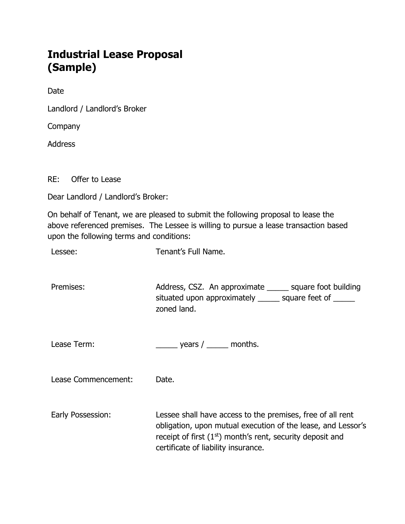## Industrial Lease Proposal (Sample)

Date

Landlord / Landlord's Broker

**Company** 

Address

RE: Offer to Lease

Dear Landlord / Landlord's Broker:

On behalf of Tenant, we are pleased to submit the following proposal to lease the above referenced premises. The Lessee is willing to pursue a lease transaction based upon the following terms and conditions:

Lessee: Tenant's Full Name.

Premises: Address, CSZ. An approximate equare foot building situated upon approximately \_\_\_\_\_ square feet of \_\_\_\_\_ zoned land.

Lease Term: \_\_\_\_\_\_\_\_\_\_\_\_\_\_\_\_\_\_\_\_\_\_\_\_\_\_ years / \_\_\_\_\_\_\_\_ months.

Lease Commencement: Date.

Early Possession: Lessee shall have access to the premises, free of all rent obligation, upon mutual execution of the lease, and Lessor's receipt of first  $(1<sup>st</sup>)$  month's rent, security deposit and certificate of liability insurance.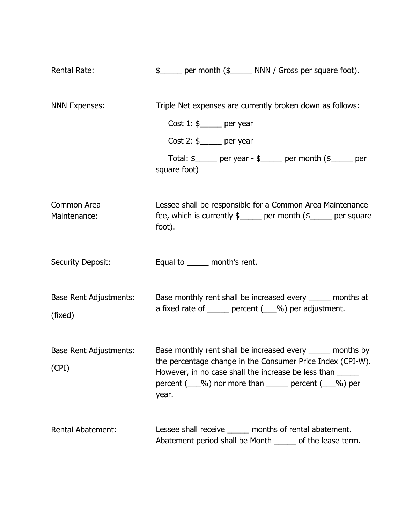| <b>Rental Rate:</b>               | \$ _____ per month (\$ _____ NNN / Gross per square foot).                                                                                                                                                                                                  |
|-----------------------------------|-------------------------------------------------------------------------------------------------------------------------------------------------------------------------------------------------------------------------------------------------------------|
| <b>NNN Expenses:</b>              | Triple Net expenses are currently broken down as follows:<br>Cost $1:$ \$______ per year                                                                                                                                                                    |
|                                   | Cost 2: $\frac{6}{2}$ per year                                                                                                                                                                                                                              |
|                                   | Total: $\frac{1}{2}$ per year - $\frac{1}{2}$ per month $\frac{1}{2}$ per<br>square foot)                                                                                                                                                                   |
| Common Area<br>Maintenance:       | Lessee shall be responsible for a Common Area Maintenance<br>fee, which is currently $\frac{1}{2}$ per month $\frac{1}{2}$ per square<br>foot).                                                                                                             |
| <b>Security Deposit:</b>          | Equal to ______ month's rent.                                                                                                                                                                                                                               |
| Base Rent Adjustments:<br>(fixed) | Base monthly rent shall be increased every ______ months at<br>a fixed rate of ______ percent (___%) per adjustment.                                                                                                                                        |
| Base Rent Adjustments:<br>(CPI)   | Base monthly rent shall be increased every ______ months by<br>the percentage change in the Consumer Price Index (CPI-W).<br>However, in no case shall the increase be less than<br>percent $($ $\&$ %) nor more than $\&$ percent $($ $\&$ %) per<br>year. |
| <b>Rental Abatement:</b>          | Lessee shall receive ______ months of rental abatement.<br>Abatement period shall be Month _____ of the lease term.                                                                                                                                         |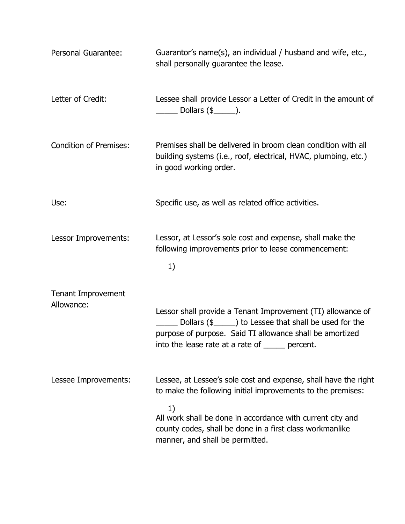| Personal Guarantee:           | Guarantor's name(s), an individual / husband and wife, etc.,<br>shall personally guarantee the lease.                                                                                                                                  |
|-------------------------------|----------------------------------------------------------------------------------------------------------------------------------------------------------------------------------------------------------------------------------------|
| Letter of Credit:             | Lessee shall provide Lessor a Letter of Credit in the amount of<br>$\frac{1}{\sqrt{2}}$ Dollars (\$ $\frac{1}{\sqrt{2}}$ ).                                                                                                            |
| <b>Condition of Premises:</b> | Premises shall be delivered in broom clean condition with all<br>building systems (i.e., roof, electrical, HVAC, plumbing, etc.)<br>in good working order.                                                                             |
| Use:                          | Specific use, as well as related office activities.                                                                                                                                                                                    |
| Lessor Improvements:          | Lessor, at Lessor's sole cost and expense, shall make the<br>following improvements prior to lease commencement:<br>1)                                                                                                                 |
| <b>Tenant Improvement</b>     |                                                                                                                                                                                                                                        |
| Allowance:                    | Lessor shall provide a Tenant Improvement (TI) allowance of<br>Dollars (\$_______) to Lessee that shall be used for the<br>purpose of purpose. Said TI allowance shall be amortized<br>into the lease rate at a rate of _____ percent. |
| Lessee Improvements:          | Lessee, at Lessee's sole cost and expense, shall have the right<br>to make the following initial improvements to the premises:                                                                                                         |
|                               | 1)<br>All work shall be done in accordance with current city and<br>county codes, shall be done in a first class workmanlike<br>manner, and shall be permitted.                                                                        |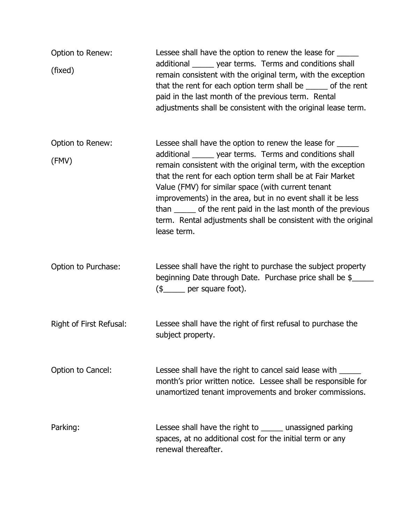| Option to Renew:<br>(fixed) | Lessee shall have the option to renew the lease for ______<br>additional _______ year terms. Terms and conditions shall<br>remain consistent with the original term, with the exception<br>that the rent for each option term shall be _____ of the rent<br>paid in the last month of the previous term. Rental<br>adjustments shall be consistent with the original lease term.                                                                                                                                              |
|-----------------------------|-------------------------------------------------------------------------------------------------------------------------------------------------------------------------------------------------------------------------------------------------------------------------------------------------------------------------------------------------------------------------------------------------------------------------------------------------------------------------------------------------------------------------------|
| Option to Renew:<br>(FMV)   | Lessee shall have the option to renew the lease for ______<br>additional _______ year terms. Terms and conditions shall<br>remain consistent with the original term, with the exception<br>that the rent for each option term shall be at Fair Market<br>Value (FMV) for similar space (with current tenant<br>improvements) in the area, but in no event shall it be less<br>than ______ of the rent paid in the last month of the previous<br>term. Rental adjustments shall be consistent with the original<br>lease term. |
| Option to Purchase:         | Lessee shall have the right to purchase the subject property<br>beginning Date through Date. Purchase price shall be \$<br>(\$ <sub>_____</sub> per square foot).                                                                                                                                                                                                                                                                                                                                                             |
| Right of First Refusal:     | Lessee shall have the right of first refusal to purchase the<br>subject property.                                                                                                                                                                                                                                                                                                                                                                                                                                             |
| Option to Cancel:           | Lessee shall have the right to cancel said lease with<br>month's prior written notice. Lessee shall be responsible for<br>unamortized tenant improvements and broker commissions.                                                                                                                                                                                                                                                                                                                                             |
| Parking:                    | Lessee shall have the right to ______ unassigned parking<br>spaces, at no additional cost for the initial term or any<br>renewal thereafter.                                                                                                                                                                                                                                                                                                                                                                                  |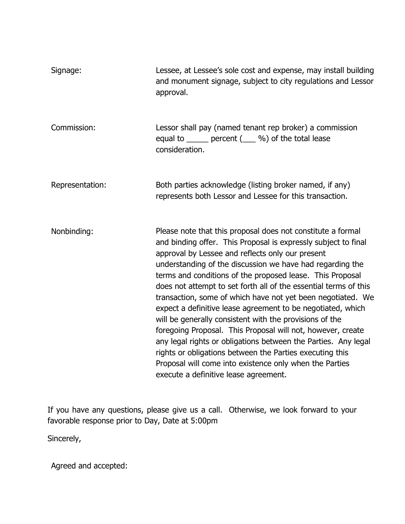| Signage:        | Lessee, at Lessee's sole cost and expense, may install building<br>and monument signage, subject to city regulations and Lessor<br>approval.                                                                                                                                                                                                                                                                                                                                                                                                                                                                                                                                                                                                                                                                                                                              |
|-----------------|---------------------------------------------------------------------------------------------------------------------------------------------------------------------------------------------------------------------------------------------------------------------------------------------------------------------------------------------------------------------------------------------------------------------------------------------------------------------------------------------------------------------------------------------------------------------------------------------------------------------------------------------------------------------------------------------------------------------------------------------------------------------------------------------------------------------------------------------------------------------------|
| Commission:     | Lessor shall pay (named tenant rep broker) a commission<br>equal to ______ percent (___ %) of the total lease<br>consideration.                                                                                                                                                                                                                                                                                                                                                                                                                                                                                                                                                                                                                                                                                                                                           |
| Representation: | Both parties acknowledge (listing broker named, if any)<br>represents both Lessor and Lessee for this transaction.                                                                                                                                                                                                                                                                                                                                                                                                                                                                                                                                                                                                                                                                                                                                                        |
| Nonbinding:     | Please note that this proposal does not constitute a formal<br>and binding offer. This Proposal is expressly subject to final<br>approval by Lessee and reflects only our present<br>understanding of the discussion we have had regarding the<br>terms and conditions of the proposed lease. This Proposal<br>does not attempt to set forth all of the essential terms of this<br>transaction, some of which have not yet been negotiated. We<br>expect a definitive lease agreement to be negotiated, which<br>will be generally consistent with the provisions of the<br>foregoing Proposal. This Proposal will not, however, create<br>any legal rights or obligations between the Parties. Any legal<br>rights or obligations between the Parties executing this<br>Proposal will come into existence only when the Parties<br>execute a definitive lease agreement. |

If you have any questions, please give us a call. Otherwise, we look forward to your favorable response prior to Day, Date at 5:00pm

Sincerely,

Agreed and accepted: